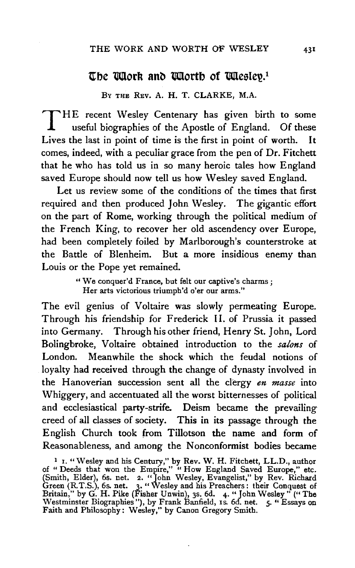## The latter and latter of littlestep.<sup>1</sup>

BY THE REV. A. H. T. CLARKE, M.A.

THE recent Wesley Centenary has given birth to some<br>useful biographies of the Apostle of England. Of these<br>Lives the last in point of time is the first in point of worth. It useful biographies of the Apostle of England. Of these Lives the last in point of time is the first in point of worth. comes, indeed, with a peculiar grace from the pen of Dr. Fitchett that he who has told us in so many heroic tales how England saved Europe should now tell us how Wesley saved England.

Let us review some of the conditions of the times that first required and then produced John Wesley. The gigantic effort on the part of Rome, working through the political medium of the French King, to recover her old ascendency over Europe, had been completely foiled by Marlborough's counterstroke at the Battle of Blenheim. But a more insidious enemy than Louis or the Pope yet remained.

> "We conquer'd France, but felt our captive's charms; Her arts victorious triumph'd o'er our arms."

The evil genius of Voltaire was slowly permeating Europe. Through his friendship for Frederick II. of Prussia it passed into Germany. Through his other friend, Henry St. John, Lord Bolingbroke, Voltaire obtained introduction to the *salons* of London. Meanwhile the shock which the feudal notions of loyalty had received through the change of dynasty involved in the Hanoverian succession sent all the clergy *en masse* into Whiggery, and accentuated all the worst bitternesses of political and ecclesiastical party-strife. Deism became the prevailing creed of all classes of society. This in its passage through the English Church took from Tillotson the name and form of Reasonableness, and among the Nonconformist bodies became

<sup>1</sup> I. "Wesley and his Century," by Rev. W. H. Fitchett, LL.D., author of " Deeds that won the Empire," " How England Saved Europe," etc. (Smith, Elder), 6s. net. 2. "Tohn Wesley, Evangelist," by Rev. Richard Green (R.T.S.), 6s. net. 3. "Wesley and his Preachers: their Conquest of Britain," by G. H. Pike (Fisher Unwin), 3s. 6d. 4. "John Wesley" ("The Westminster Biographies"), by Frank Banfield, IS. 6d. net. *5·* "Essays on Faith and Philosophy: Wesley," by Canon Gregory Smith.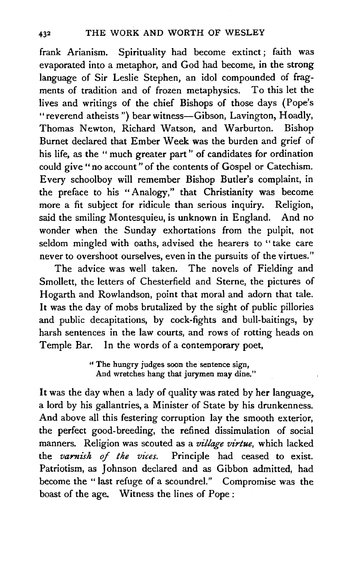frank Arianism. Spirituality had become extinct ; faith was evaporated into a metaphor, and God had become, in the strong language of Sir Leslie Stephen, an idol compounded of fragments of tradition and of frozen metaphysics. To this let the lives and writings of the chief Bishops of those days (Pope's "reverend atheists") bear witness-Gibson, Lavington, Hoadly, Thomas Newton, Richard Watson, and Warburton. Bishop Burnet declared that Ember Week was the burden and grief of his life, as the " much greater part " of candidates for ordination could give "no account" of the contents of Gospel or Catechism. Every schoolboy will remember Bishop Butler's complaint, in the preface to his "Analogy," that Christianity was become more a fit subject for ridicule than serious inquiry. Religion, said the smiling Montesquieu, is unknown in England. And no wonder when the Sunday exhortations from the pulpit, not seldom mingled with oaths, advised the hearers to " take care never to overshoot ourselves, even in the pursuits of the virtues."

The advice was well taken. The novels of Fielding and Smollett, the letters of Chesterfield and Sterne, the pictures of Hogarth and Rowlandson, point that moral and adorn that tale. It was the day of mobs brutalized by the sight of public pillories and public decapitations, by cock-fights and bull-baitings, by harsh sentences in the law courts, and rows of rotting heads on Temple Bar. In the words of a contemporary poet,

> " The hungry judges soon the sentence sign, And wretches hang that jurymen may dine."

It was the day when a lady of quality was rated by her language, a lord by his gallantries, a Minister of State by his drunkenness. And above all this festering corruption lay the smooth exterior, the perfect good-breeding, the refined dissimulation of social manners. Religion was scouted as a *village virtue,* which lacked the *varnish of the vices.* Principle had ceased to exist. Patriotism, as Johnson declared and as Gibbon admitted, had become the "last refuge of a scoundrel." Compromise was the boast of the age. Witness the lines of Pope :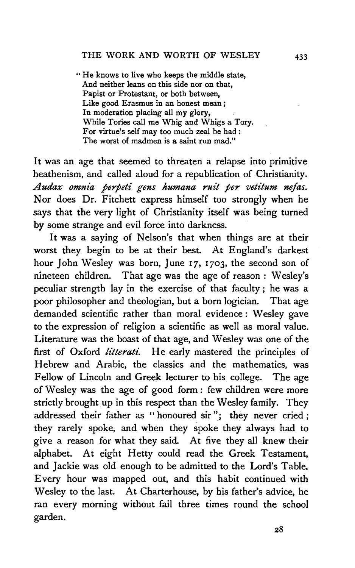" He knows to live who keeps the middle state, And neither leans on this side nor on that, Papist or Protestant, or both between, Like good Erasmus in an honest mean ; In moderation placing all my glory, While Tories call me Whig and Whigs a Tory. For virtue's self may too much zeal be had : The worst of madmen is a saint run mad."

It was an age that seemed to threaten a relapse into primitive heathenism, and called aloud for a republication of Christianity. Audax omnia perpeti gens humana ruit per vetitum nefas. Nor does Dr. Fitchett express himself too strongly when he says that the very light of Christianity itself was being turned by some strange and evil force into darkness.

It was a saying of Nelson's that when things are at their worst they begin to be at their best. At England's darkest hour John Wesley was born, June 17, 1703, the second son of nineteen children. That age was the age of reason : Wesley's peculiar strength lay in the exercise of that faculty ; he was a poor philosopher and theologian, but a born logician. That age demanded scientific rather than moral evidence : Wesley gave to the expression of religion a scientific as well as moral value. Literature was the boast of that age, and Wesley was one of the first of Oxford *litterati*. He early mastered the principles of Hebrew and Arabic, the classics and the mathematics, was Fellow of Lincoln and Greek lecturer to his college. The age of Wesley was the age of good form : few children were more strictly brought up in this respect than the Wesley family. They addressed their father as "honoured sir"; they never cried; they rarely spoke, and when they spoke they always had to give a reason for what they said. At five they all knew their alphabet. At eight Hetty could read the Greek Testament, and Jackie was old enough to be admitted to the Lord's Table. Every hour was mapped out, and this habit continued with Wesley to the last. At Charterhouse, by his father's advice, he ran every morning without fail three times round the school garden.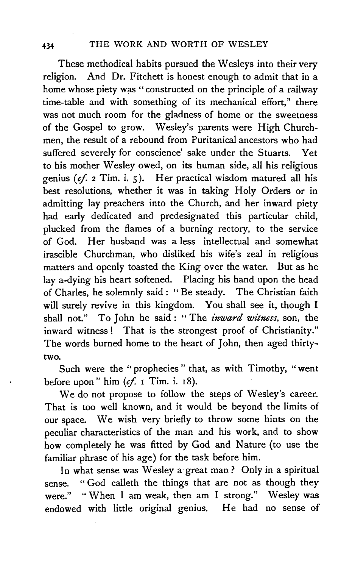These methodical habits pursued the Wesleys into their very religion. And Dr. Fitchett is honest enough to admit that in a home whose piety was " constructed on the principle of a railway time-table and with something of its mechanical effort," there was not much room for the gladness of home or the sweetness of the Gospel to grow. Wesley's parents were High Churchmen, the result of a rebound from Puritanical ancestors who had suffered severely for conscience' sake under the Stuarts. Yet to his mother Wesley owed, on its human side, all his religious genius *(if.* 2 Tim. i. 5). Her practical wisdom matured all his best resolutions, whether it was in taking Holy Orders or in admitting lay preachers into the Church, and her inward piety had early dedicated and predesignated this particular child, plucked from the flames of a burning rectory, to the service of God. Her husband was a less intellectual and somewhat irascible Churchman, who disliked his wife's zeal in religious matters and openly toasted the King over the water. But as he lay a-dying his heart softened. Placing his hand upon the head of Charles, he solemnly said : '' Be steady. The Christian faith will surely revive in this kingdom. You shall see it, though I shall not." To John he said : "The *inward witness*, son, the inward witness! That is the strongest proof of Christianity." The words burned home to the heart of John, then aged thirtytwo.

Such were the "prophecies " that, as with Timothy, "went before upon" him  $(cf. 1 Tim. i. 18)$ .

We do not propose to follow the steps of Wesley's career. That is too well known, and it would be beyond the limits of our space. We wish very briefly to throw some hints on the peculiar characteristics of the man and his work, and to show how completely he was fitted by God and Nature (to use the familiar phrase of his age) for the task before him.

In what sense was Wesley a great man ? Only in a spiritual sense. "God calleth the things that are not as though they were." "When I am weak, then am I strong." Wesley was endowed with little original genius. He had no sense of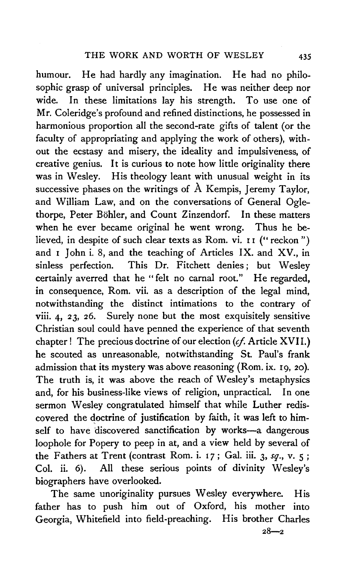humour. He had hardly any imagination. He had no philosophic grasp of universal principles. He was neither deep nor wide. In these limitations lay his strength. To use one of Mr. Coleridge's profound and refined distinctions, he possessed in harmonious proportion all the second-rate gifts of talent (or the faculty of appropriating and applying the work of others), without the ecstasy and misery, the ideality and impulsiveness, of creative genius. It is curious to note how little originality there was in Wesley. His theology leant with unusual weight in its successive phases on the writings of A Kempis, Jeremy Taylor, and William Law, and on the conversations of General Oglethorpe, Peter Böhler, and Count Zinzendorf. In these matters when he ever became original he went wrong. Thus he believed, in despite of such clear texts as Rom. vi. II ("reckon") and I John i. 8, and the teaching of Articles IX. and XV., in sinless perfection. This Dr. Fitchett denies; but Wesley certainly averred that he "felt no carnal root." He regarded, in consequence, Rom. vii. as a description of the legal mind, notwithstanding the distinct intimations to the contrary of viii. 4, 23, 26. Surely none but the most exquisitely sensitive Christian soul could have penned the experience of that seventh chapter! The precious doctrine of our election (cf. Article XVII.) he scouted as unreasonable, notwithstanding St. Paul's frank admission that its mystery was above reasoning (Rom. ix. I9, 20). The truth is, it was above the reach of Wesley's metaphysics and, for his business-like views of religion, unpractical. In one sermon Wesley congratulated himself that while Luther rediscovered the doctrine of justification by faith, it was left to himself to have discovered sanctification by works-a dangerous loophole for Popery to peep in at, and a view held by several of the Fathers at Trent (contrast Rom. i. I 7; Gal. iii. 3, *sq.,* v. 5 ; Col. ii. 6). All these serious points of divinity Wesley's biographers have overlooked.

The same unoriginality pursues Wesley everywhere. His father has to push him out of Oxford, his mother into Georgia, Whitefield into field-preaching. His brother Charles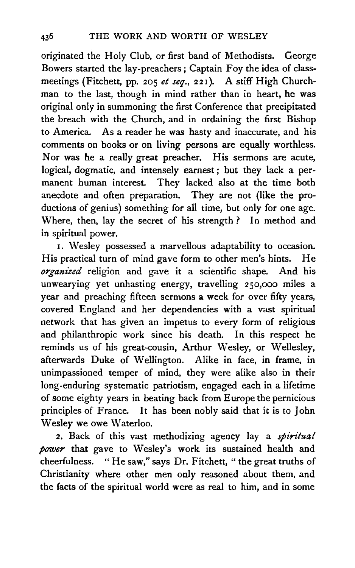originated the Holy Club, or first band of Methodists. George Bowers started the lay-preachers; Captain Foy the idea of classmeetings (Fitchett, pp. 205 *et seq.*, 221). A stiff High Churchman to the last, though in mind rather than in heart, he was original only in summoning the first Conference that precipitated the breach with the Church, and in ordaining the first Bishop to America. As a reader he was hasty and inaccurate, and his comments on books or on living persons are equally worthless. Nor was he a really great preacher. His sermons are acute, logical, dogmatic, and intensely earnest ; but they lack a permanent human interest. They lacked also at the time both anecdote and often preparation. They are not (like the productions of genius) something for all time, but only for one age. Where, then, lay the secret of his strength ? In method and in spiritual power.

I. Wesley possessed a marvellous adaptability to occasion. His practical turn of mind gave form to other men's hints. He *organized* religion and gave it a scientific shape. And his unwearying yet unhasting energy, travelling 250,000 miles a year and preaching fifteen sermons a week for over fifty years, covered England and her dependencies with a vast spiritual network that has given an impetus to every form of religious and philanthropic work since his death. In this respect he reminds us of his great-cousin, Arthur Wesley, or Wellesley, afterwards Duke of Wellington. Alike in face, in frame, in unimpassioned temper of mind, they were alike also in their long-enduring systematic patriotism, engaged each in a lifetime of some eighty years in beating back from Europe the pernicious principles of France. It has been nobly said that it is to John Wesley we owe Waterloo.

2. Back of this vast methodizing agency lay a *spiritual power* that gave to Wesley's work its sustained health and cheerfulness. " He saw," says Dr. Fitchett, " the great truths of Christianity where other men only reasoned about them, and the facts of the spiritual world were as real to him, and in some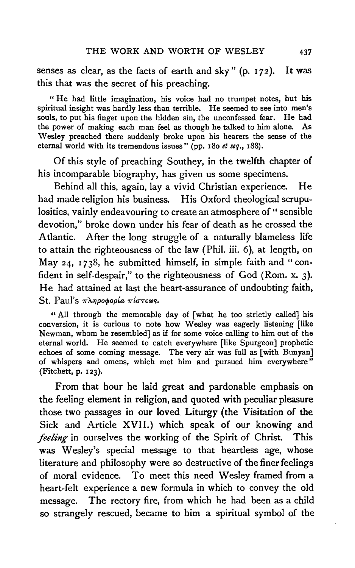senses as clear, as the facts of earth and sky" (p.  $172$ ). It was this that was the secret of his preaching.

"He had little imagination, his voice had no trumpet notes, but his spiritual insight was hardly less than terrible. He seemed to see into men's souls, to put his finger upon the hidden sin, the unconfessed fear. He had the power of making each man feel as though he talked to him alone. As Wesley preached there suddenly broke upon his hearers the sense of the eternal world with its tremendous issues" (pp. 180 *et seq.,* 188).

Of this style of preaching Southey, in the twelfth chapter of his incomparable biography, has given us some specimens.

Behind all this, again, lay a vivid Christian experience. He had made religion his business. His Oxford theological scrupulosities, vainly endeavouring to create an atmosphere of "sensible devotion," broke down under his fear of death as he crossed the Atlantic. After the long struggle of a naturally blameless life to attain the righteousness of the law (Phil. iii. 6), at length, on May 24, 1738, he submitted himself, in simple faith and "confident in self-despair," to the righteousness of God (Rom. x. 3). He had attained at last the heart-assurance of undoubting faith, St. Paul's πληροφορία πίστεως.

" All through the memorable day of [what he too strictly called] his conversion, it is curious to note how Wesley was eagerly listening [like Newman, whom he resembled] as if for some voice calling to him out of the eternal world. He seemed to catch everywhere [like Spurgeon] prophetic echoes of some coming message. The very air was full as [with Bunyan] of whispers and omens, which met him and pursued him everywhere" (Fitchett, p. 123). .

From that hour he laid great and pardonable emphasis on the feeling element in religion, and quoted with peculiar pleasure those two passages in our loved Liturgy {the Visitation of the Sick and Article XVII.) which speak of our knowing and *feeling* in ourselves the working of the Spirit of Christ. This was Wesley's special message to that heartless age, whose literature and philosophy were so destructive of the finer feelings of moral evidence. To meet this need Wesley framed from a heart-felt experience a new formula in which to convey the old message. The rectory fire, from which he had been as a child so strangely rescued, became to him a spiritual symbol of the